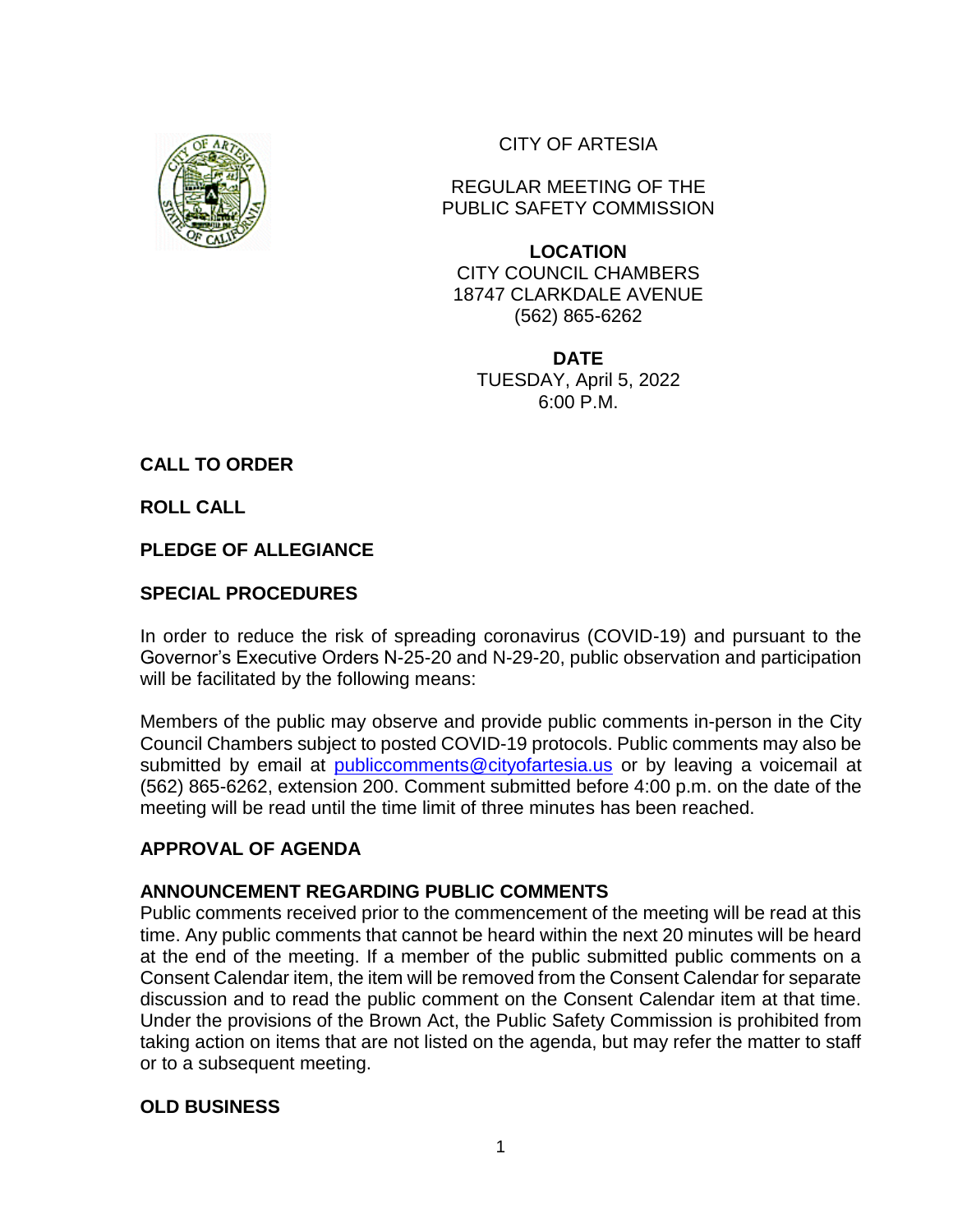

CITY OF ARTESIA

REGULAR MEETING OF THE PUBLIC SAFETY COMMISSION

**LOCATION** CITY COUNCIL CHAMBERS 18747 CLARKDALE AVENUE (562) 865-6262

**DATE** TUESDAY, April 5, 2022 6:00 P.M.

**CALL TO ORDER** 

**ROLL CALL** 

### **PLEDGE OF ALLEGIANCE**

# **SPECIAL PROCEDURES**

In order to reduce the risk of spreading coronavirus (COVID-19) and pursuant to the Governor's Executive Orders N-25-20 and N-29-20, public observation and participation will be facilitated by the following means:

Members of the public may observe and provide public comments in-person in the City Council Chambers subject to posted COVID-19 protocols. Public comments may also be submitted by email at [publiccomments@cityofartesia.us](mailto:publiccomments@cityofartesia.us) or by leaving a voicemail at (562) 865-6262, extension 200. Comment submitted before 4:00 p.m. on the date of the meeting will be read until the time limit of three minutes has been reached.

## **APPROVAL OF AGENDA**

### **ANNOUNCEMENT REGARDING PUBLIC COMMENTS**

Public comments received prior to the commencement of the meeting will be read at this time. Any public comments that cannot be heard within the next 20 minutes will be heard at the end of the meeting. If a member of the public submitted public comments on a Consent Calendar item, the item will be removed from the Consent Calendar for separate discussion and to read the public comment on the Consent Calendar item at that time. Under the provisions of the Brown Act, the Public Safety Commission is prohibited from taking action on items that are not listed on the agenda, but may refer the matter to staff or to a subsequent meeting.

### **OLD BUSINESS**